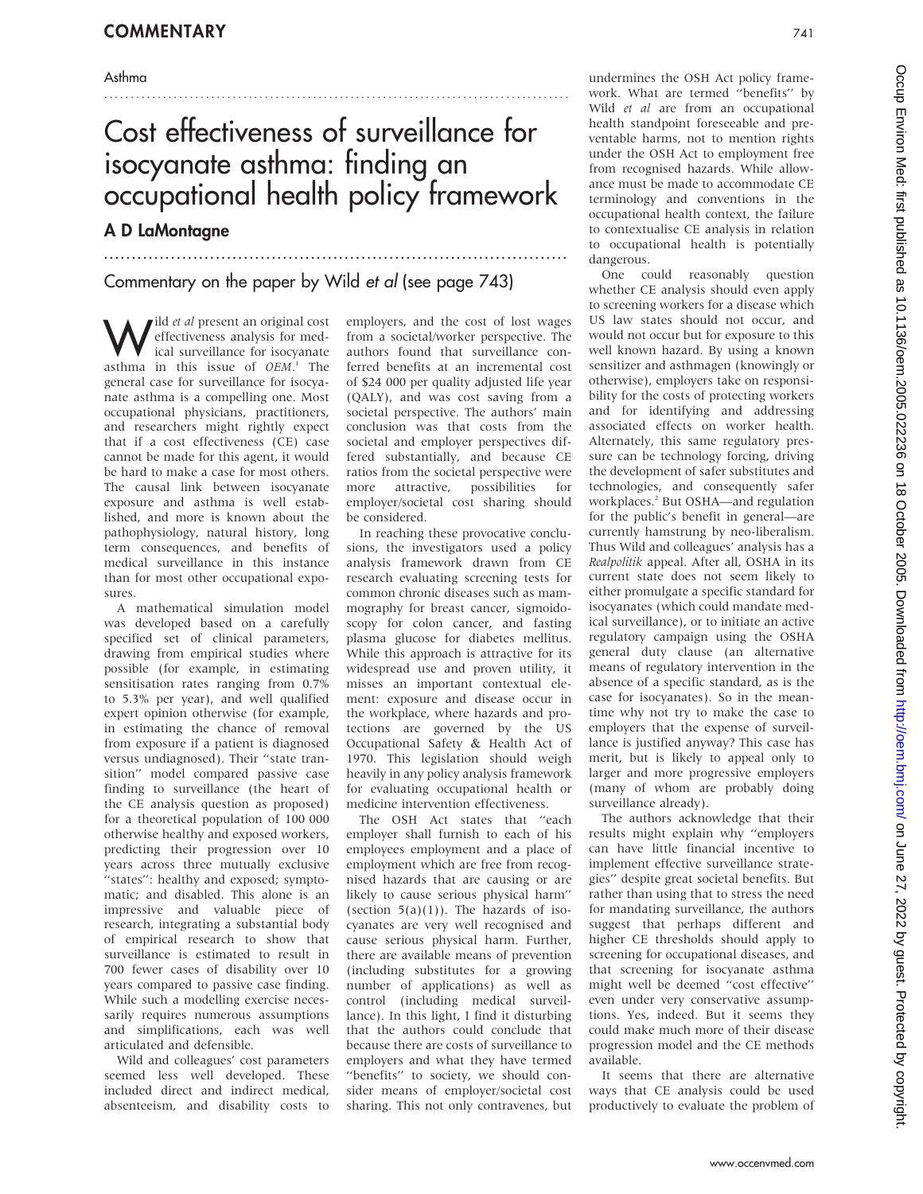## Asthma

# Cost effectiveness of surveillance for isocyanate asthma: finding an occupational health policy framework

...................................................................................

.......................................................................................

# A D LaMontagne

Commentary on the paper by Wild et al (see page 743)

 $\bigvee$  ild *et al* present an original cost<br>effectiveness analysis for medical surveillance for isocyanate effectiveness analysis for medical surveillance for isocyanate asthma in this issue of OEM.<sup>1</sup> The general case for surveillance for isocyanate asthma is a compelling one. Most occupational physicians, practitioners, and researchers might rightly expect that if a cost effectiveness (CE) case cannot be made for this agent, it would be hard to make a case for most others. The causal link between isocyanate exposure and asthma is well established, and more is known about the pathophysiology, natural history, long term consequences, and benefits of medical surveillance in this instance than for most other occupational exposures.

A mathematical simulation model was developed based on a carefully specified set of clinical parameters, drawing from empirical studies where possible (for example, in estimating sensitisation rates ranging from 0.7% to 5.3% per year), and well qualified expert opinion otherwise (for example, in estimating the chance of removal from exposure if a patient is diagnosed versus undiagnosed). Their ''state transition'' model compared passive case finding to surveillance (the heart of the CE analysis question as proposed) for a theoretical population of 100 000 otherwise healthy and exposed workers, predicting their progression over 10 years across three mutually exclusive "states": healthy and exposed; symptomatic; and disabled. This alone is an impressive and valuable piece of research, integrating a substantial body of empirical research to show that surveillance is estimated to result in 700 fewer cases of disability over 10 years compared to passive case finding. While such a modelling exercise necessarily requires numerous assumptions and simplifications, each was well articulated and defensible.

Wild and colleagues' cost parameters seemed less well developed. These included direct and indirect medical, absenteeism, and disability costs to

employers, and the cost of lost wages from a societal/worker perspective. The authors found that surveillance conferred benefits at an incremental cost of \$24 000 per quality adjusted life year (QALY), and was cost saving from a societal perspective. The authors' main conclusion was that costs from the societal and employer perspectives differed substantially, and because CE ratios from the societal perspective were more attractive, possibilities for employer/societal cost sharing should be considered.

In reaching these provocative conclusions, the investigators used a policy analysis framework drawn from CE research evaluating screening tests for common chronic diseases such as mammography for breast cancer, sigmoidoscopy for colon cancer, and fasting plasma glucose for diabetes mellitus. While this approach is attractive for its widespread use and proven utility, it misses an important contextual element: exposure and disease occur in the workplace, where hazards and protections are governed by the US Occupational Safety & Health Act of 1970. This legislation should weigh heavily in any policy analysis framework for evaluating occupational health or medicine intervention effectiveness.

The OSH Act states that ''each employer shall furnish to each of his employees employment and a place of employment which are free from recognised hazards that are causing or are likely to cause serious physical harm'' (section  $5(a)(1)$ ). The hazards of isocyanates are very well recognised and cause serious physical harm. Further, there are available means of prevention (including substitutes for a growing number of applications) as well as control (including medical surveillance). In this light, I find it disturbing that the authors could conclude that because there are costs of surveillance to employers and what they have termed ''benefits'' to society, we should consider means of employer/societal cost sharing. This not only contravenes, but

undermines the OSH Act policy framework. What are termed ''benefits'' by Wild et al are from an occupational health standpoint foreseeable and preventable harms, not to mention rights under the OSH Act to employment free from recognised hazards. While allowance must be made to accommodate CE terminology and conventions in the occupational health context, the failure to contextualise CE analysis in relation to occupational health is potentially dangerous.

One could reasonably question whether CE analysis should even apply to screening workers for a disease which US law states should not occur, and would not occur but for exposure to this well known hazard. By using a known sensitizer and asthmagen (knowingly or otherwise), employers take on responsibility for the costs of protecting workers and for identifying and addressing associated effects on worker health. Alternately, this same regulatory pressure can be technology forcing, driving the development of safer substitutes and technologies, and consequently safer workplaces.2 But OSHA—and regulation for the public's benefit in general—are currently hamstrung by neo-liberalism. Thus Wild and colleagues' analysis has a Realpolitik appeal. After all, OSHA in its current state does not seem likely to either promulgate a specific standard for isocyanates (which could mandate medical surveillance), or to initiate an active regulatory campaign using the OSHA general duty clause (an alternative means of regulatory intervention in the absence of a specific standard, as is the case for isocyanates). So in the meantime why not try to make the case to employers that the expense of surveillance is justified anyway? This case has merit, but is likely to appeal only to larger and more progressive employers (many of whom are probably doing surveillance already).

The authors acknowledge that their results might explain why ''employers can have little financial incentive to implement effective surveillance strategies'' despite great societal benefits. But rather than using that to stress the need for mandating surveillance, the authors suggest that perhaps different and higher CE thresholds should apply to screening for occupational diseases, and that screening for isocyanate asthma might well be deemed ''cost effective'' even under very conservative assumptions. Yes, indeed. But it seems they could make much more of their disease progression model and the CE methods available.

It seems that there are alternative ways that CE analysis could be used productively to evaluate the problem of